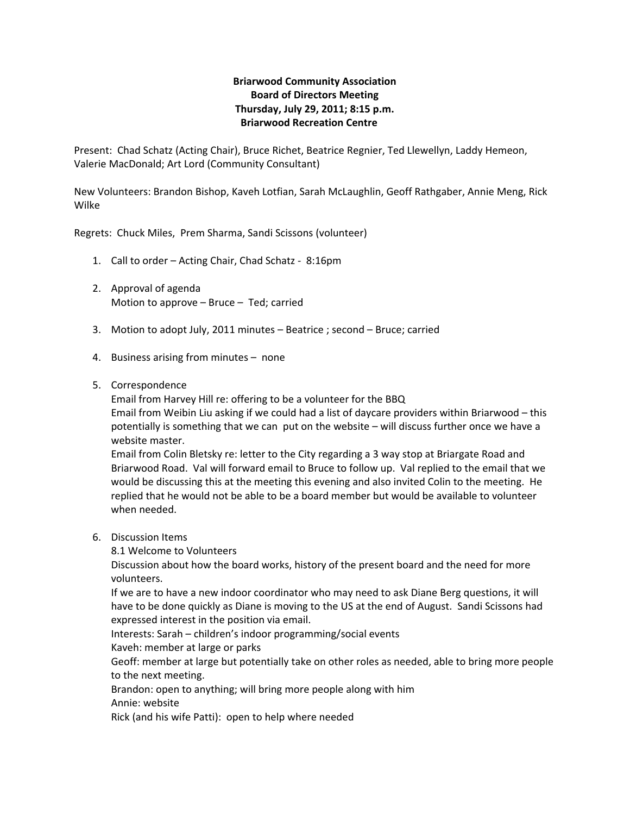## **Briarwood Community Association Board of Directors Meeting Thursday, July 29, 2011; 8:15 p.m. Briarwood Recreation Centre**

Present: Chad Schatz (Acting Chair), Bruce Richet, Beatrice Regnier, Ted Llewellyn, Laddy Hemeon, Valerie MacDonald; Art Lord (Community Consultant)

New Volunteers: Brandon Bishop, Kaveh Lotfian, Sarah McLaughlin, Geoff Rathgaber, Annie Meng, Rick Wilke

Regrets: Chuck Miles, Prem Sharma, Sandi Scissons (volunteer)

- 1. Call to order Acting Chair, Chad Schatz ‐ 8:16pm
- 2. Approval of agenda Motion to approve – Bruce – Ted; carried
- 3. Motion to adopt July, 2011 minutes Beatrice ; second Bruce; carried
- 4. Business arising from minutes none
- 5. Correspondence

Email from Harvey Hill re: offering to be a volunteer for the BBQ

Email from Weibin Liu asking if we could had a list of daycare providers within Briarwood – this potentially is something that we can put on the website – will discuss further once we have a website master.

Email from Colin Bletsky re: letter to the City regarding a 3 way stop at Briargate Road and Briarwood Road. Val will forward email to Bruce to follow up. Val replied to the email that we would be discussing this at the meeting this evening and also invited Colin to the meeting. He replied that he would not be able to be a board member but would be available to volunteer when needed.

- 6. Discussion Items
	- 8.1 Welcome to Volunteers

Discussion about how the board works, history of the present board and the need for more volunteers.

If we are to have a new indoor coordinator who may need to ask Diane Berg questions, it will have to be done quickly as Diane is moving to the US at the end of August. Sandi Scissons had expressed interest in the position via email.

Interests: Sarah – children's indoor programming/social events

Kaveh: member at large or parks

Geoff: member at large but potentially take on other roles as needed, able to bring more people to the next meeting.

Brandon: open to anything; will bring more people along with him

Annie: website

Rick (and his wife Patti): open to help where needed